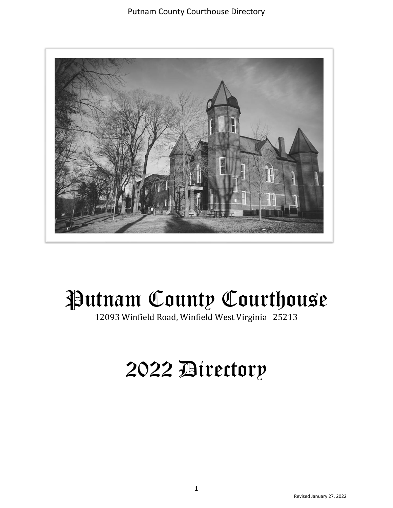

# Putnam County Courthouse

12093 Winfield Road, Winfield West Virginia 25213

## 2022 Directory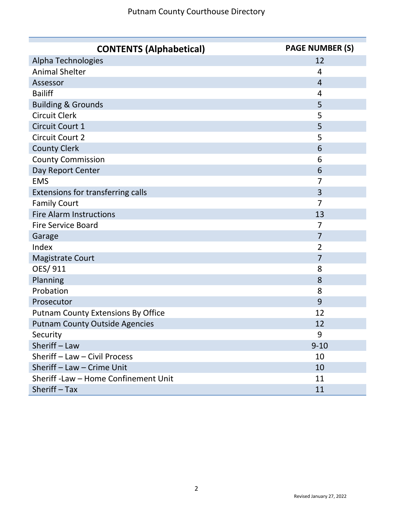| <b>CONTENTS (Alphabetical)</b>            | <b>PAGE NUMBER (S)</b> |
|-------------------------------------------|------------------------|
| Alpha Technologies                        | 12                     |
| <b>Animal Shelter</b>                     | $\overline{4}$         |
| Assessor                                  | $\overline{4}$         |
| <b>Bailiff</b>                            | $\overline{4}$         |
| <b>Building &amp; Grounds</b>             | 5                      |
| <b>Circuit Clerk</b>                      | 5                      |
| Circuit Court 1                           | 5                      |
| <b>Circuit Court 2</b>                    | 5                      |
| <b>County Clerk</b>                       | 6                      |
| <b>County Commission</b>                  | 6                      |
| Day Report Center                         | 6                      |
| <b>EMS</b>                                | 7                      |
| Extensions for transferring calls         | 3                      |
| <b>Family Court</b>                       | 7                      |
| <b>Fire Alarm Instructions</b>            | 13                     |
| <b>Fire Service Board</b>                 | 7                      |
| Garage                                    | $\overline{7}$         |
| Index                                     | 2                      |
| <b>Magistrate Court</b>                   | $\overline{7}$         |
| OES/911                                   | 8                      |
| Planning                                  | 8                      |
| Probation                                 | 8                      |
| Prosecutor                                | 9                      |
| <b>Putnam County Extensions By Office</b> | 12                     |
| <b>Putnam County Outside Agencies</b>     | 12                     |
| Security                                  | 9                      |
| Sheriff - Law                             | $9 - 10$               |
| Sheriff - Law - Civil Process             | 10                     |
| Sheriff - Law - Crime Unit                | 10                     |
| Sheriff - Law - Home Confinement Unit     | 11                     |
| Sheriff - Tax                             | 11                     |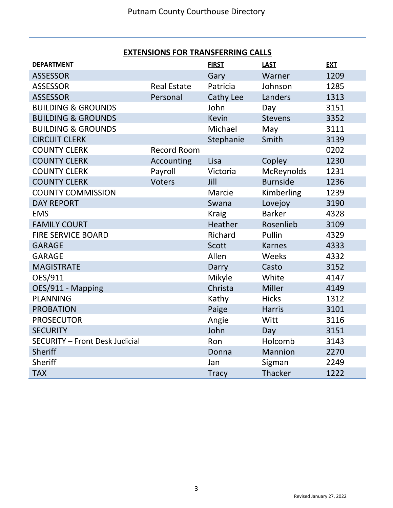#### **EXTENSIONS FOR TRANSFERRING CALLS**

| <b>DEPARTMENT</b>                     |                    | <b>FIRST</b> | <b>LAST</b>     | <b>EXT</b> |
|---------------------------------------|--------------------|--------------|-----------------|------------|
| <b>ASSESSOR</b>                       |                    | Gary         | Warner          | 1209       |
| <b>ASSESSOR</b>                       | <b>Real Estate</b> | Patricia     | Johnson         | 1285       |
| <b>ASSESSOR</b>                       | Personal           | Cathy Lee    | Landers         | 1313       |
| <b>BUILDING &amp; GROUNDS</b>         |                    | John         | Day             | 3151       |
| <b>BUILDING &amp; GROUNDS</b>         |                    | <b>Kevin</b> | <b>Stevens</b>  | 3352       |
| <b>BUILDING &amp; GROUNDS</b>         |                    | Michael      | May             | 3111       |
| <b>CIRCUIT CLERK</b>                  |                    | Stephanie    | Smith           | 3139       |
| <b>COUNTY CLERK</b>                   | <b>Record Room</b> |              |                 | 0202       |
| <b>COUNTY CLERK</b>                   | Accounting         | Lisa         | Copley          | 1230       |
| <b>COUNTY CLERK</b>                   | Payroll            | Victoria     | McReynolds      | 1231       |
| <b>COUNTY CLERK</b>                   | <b>Voters</b>      | Jill         | <b>Burnside</b> | 1236       |
| <b>COUNTY COMMISSION</b>              |                    | Marcie       | Kimberling      | 1239       |
| <b>DAY REPORT</b>                     |                    | Swana        | Lovejoy         | 3190       |
| <b>EMS</b>                            |                    | <b>Kraig</b> | <b>Barker</b>   | 4328       |
| <b>FAMILY COURT</b>                   |                    | Heather      | Rosenlieb       | 3109       |
| <b>FIRE SERVICE BOARD</b>             |                    | Richard      | Pullin          | 4329       |
| <b>GARAGE</b>                         |                    | <b>Scott</b> | <b>Karnes</b>   | 4333       |
| <b>GARAGE</b>                         |                    | Allen        | Weeks           | 4332       |
| <b>MAGISTRATE</b>                     |                    | Darry        | Casto           | 3152       |
| OES/911                               |                    | Mikyle       | White           | 4147       |
| OES/911 - Mapping                     |                    | Christa      | Miller          | 4149       |
| <b>PLANNING</b>                       |                    | Kathy        | <b>Hicks</b>    | 1312       |
| <b>PROBATION</b>                      |                    | Paige        | <b>Harris</b>   | 3101       |
| <b>PROSECUTOR</b>                     |                    | Angie        | Witt            | 3116       |
| <b>SECURITY</b>                       |                    | John         | Day             | 3151       |
| <b>SECURITY - Front Desk Judicial</b> |                    | Ron          | Holcomb         | 3143       |
| <b>Sheriff</b>                        |                    | Donna        | Mannion         | 2270       |
| Sheriff                               |                    | Jan          | Sigman          | 2249       |
| <b>TAX</b>                            |                    | <b>Tracy</b> | Thacker         | 1222       |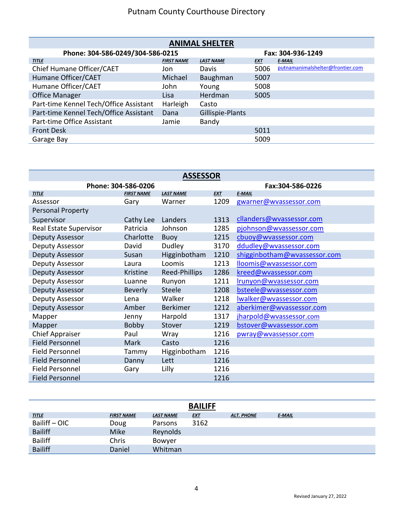| <b>ANIMAL SHELTER</b>                  |                   |                  |                   |                                  |  |  |
|----------------------------------------|-------------------|------------------|-------------------|----------------------------------|--|--|
| Phone: 304-586-0249/304-586-0215       |                   |                  | Fax: 304-936-1249 |                                  |  |  |
| <b>TITLE</b>                           | <b>FIRST NAME</b> | <b>LAST NAME</b> | <b>EXT</b>        | <b>E-MAIL</b>                    |  |  |
| Chief Humane Officer/CAET              | Jon               | Davis            | 5006              | putnamanimalshelter@frontier.com |  |  |
| Humane Officer/CAET                    | Michael           | Baughman         | 5007              |                                  |  |  |
| Humane Officer/CAET                    | John              | Young            | 5008              |                                  |  |  |
| <b>Office Manager</b>                  | Lisa              | Herdman          | 5005              |                                  |  |  |
| Part-time Kennel Tech/Office Assistant | Harleigh          | Casto            |                   |                                  |  |  |
| Part-time Kennel Tech/Office Assistant | Dana              | Gillispie-Plants |                   |                                  |  |  |
| Part-time Office Assistant             | Jamie             | Bandy            |                   |                                  |  |  |
| <b>Front Desk</b>                      |                   |                  | 5011              |                                  |  |  |
| Garage Bay                             |                   |                  | 5009              |                                  |  |  |

| <b>ASSESSOR</b>        |                   |                  |                  |                              |  |
|------------------------|-------------------|------------------|------------------|------------------------------|--|
| Phone: 304-586-0206    |                   |                  | Fax:304-586-0226 |                              |  |
| <b>TITLE</b>           | <b>FIRST NAME</b> | <b>LAST NAME</b> | <b>EXT</b>       | <b>E-MAIL</b>                |  |
| Assessor               | Gary              | Warner           | 1209             | gwarner@wvassessor.com       |  |
| Personal Property      |                   |                  |                  |                              |  |
| Supervisor             | Cathy Lee         | Landers          | 1313             | cllanders@wvassessor.com     |  |
| Real Estate Supervisor | Patricia          | Johnson          | 1285             | pjohnson@wvassessor.com      |  |
| Deputy Assessor        | Charlotte         | <b>Buoy</b>      | 1215             | cbuoy@wvassessor.com         |  |
| Deputy Assessor        | David             | Dudley           | 3170             | ddudley@wvassessor.com       |  |
| Deputy Assessor        | Susan             | Higginbotham     | 1210             | shigginbotham@wvassessor.com |  |
| Deputy Assessor        | Laura             | Loomis           | 1213             | lloomis@wvassessor.com       |  |
| Deputy Assessor        | <b>Kristine</b>   | Reed-Phillips    | 1286             | kreed@wvassessor.com         |  |
| Deputy Assessor        | Luanne            | Runyon           | 1211             | Irunyon@wvassessor.com       |  |
| Deputy Assessor        | <b>Beverly</b>    | Steele           | 1208             | bsteele@wvassessor.com       |  |
| Deputy Assessor        | Lena              | Walker           | 1218             | Iwalker@wvassessor.com       |  |
| Deputy Assessor        | Amber             | <b>Berkimer</b>  | 1212             | aberkimer@wvassessor.com     |  |
| Mapper                 | Jenny             | Harpold          | 1317             | jharpold@wvassessor.com      |  |
| Mapper                 | <b>Bobby</b>      | Stover           | 1219             | bstover@wvassessor.com       |  |
| <b>Chief Appraiser</b> | Paul              | Wray             | 1216             | pwray@wvassessor.com         |  |
| <b>Field Personnel</b> | <b>Mark</b>       | Casto            | 1216             |                              |  |
| <b>Field Personnel</b> | Tammy             | Higginbotham     | 1216             |                              |  |
| <b>Field Personnel</b> | Danny             | Lett             | 1216             |                              |  |
| <b>Field Personnel</b> | Gary              | Lilly            | 1216             |                              |  |
| <b>Field Personnel</b> |                   |                  | 1216             |                              |  |

|                |                   |                  | <b>BAILIFF</b> |                   |        |
|----------------|-------------------|------------------|----------------|-------------------|--------|
| <b>TITLE</b>   | <b>FIRST NAME</b> | <b>LAST NAME</b> | <u>EXT</u>     | <b>ALT. PHONE</b> | E-MAIL |
| Bailiff - OIC  | Doug              | Parsons          | 3162           |                   |        |
| <b>Bailiff</b> | <b>Mike</b>       | Reynolds         |                |                   |        |
| <b>Bailiff</b> | Chris             | Bowyer           |                |                   |        |
| <b>Bailiff</b> | Daniel            | Whitman          |                |                   |        |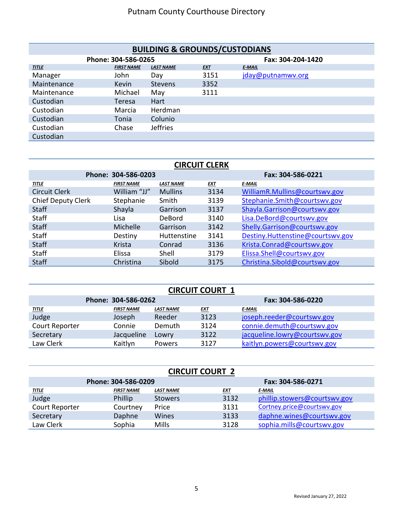| <b>BUILDING &amp; GROUNDS/CUSTODIANS</b> |                     |                  |            |                   |  |  |
|------------------------------------------|---------------------|------------------|------------|-------------------|--|--|
|                                          | Phone: 304-586-0265 |                  |            | Fax: 304-204-1420 |  |  |
| <b>TITLE</b>                             | <b>FIRST NAME</b>   | <b>LAST NAME</b> | <b>EXT</b> | E-MAIL            |  |  |
| Manager                                  | John                | Day              | 3151       | jday@putnamwv.org |  |  |
| Maintenance                              | <b>Kevin</b>        | <b>Stevens</b>   | 3352       |                   |  |  |
| Maintenance                              | Michael             | May              | 3111       |                   |  |  |
| Custodian                                | Teresa              | Hart             |            |                   |  |  |
| Custodian                                | Marcia              | Herdman          |            |                   |  |  |
| Custodian                                | Tonia               | Colunio          |            |                   |  |  |
| Custodian                                | Chase               | <b>Jeffries</b>  |            |                   |  |  |
| Custodian                                |                     |                  |            |                   |  |  |

| <b>CIRCUIT CLERK</b>      |                     |                  |            |                                  |  |  |
|---------------------------|---------------------|------------------|------------|----------------------------------|--|--|
|                           | Phone: 304-586-0203 |                  |            | Fax: 304-586-0221                |  |  |
| <b>TITLE</b>              | <b>FIRST NAME</b>   | <b>LAST NAME</b> | <b>EXT</b> | <b>E-MAIL</b>                    |  |  |
| <b>Circuit Clerk</b>      | William "JJ"        | <b>Mullins</b>   | 3134       | WilliamR.Mullins@courtswv.gov    |  |  |
| <b>Chief Deputy Clerk</b> | Stephanie           | Smith            | 3139       | Stephanie.Smith@courtswv.gov     |  |  |
| <b>Staff</b>              | Shayla              | Garrison         | 3137       | Shayla.Garrison@courtswy.gov     |  |  |
| Staff                     | Lisa                | DeBord           | 3140       | Lisa.DeBord@courtswv.gov         |  |  |
| <b>Staff</b>              | Michelle            | Garrison         | 3142       | Shelly.Garrison@courtswv.gov     |  |  |
| Staff                     | Destiny             | Huttenstine      | 3141       | Destiny.Huttenstine@courtswy.gov |  |  |
| <b>Staff</b>              | Krista              | Conrad           | 3136       | Krista.Conrad@courtswv.gov       |  |  |
| Staff                     | Elissa              | Shell            | 3179       | Elissa.Shell@courtswv.gov        |  |  |
| <b>Staff</b>              | Christina           | Sibold           | 3175       | Christina.Sibold@courtswv.gov    |  |  |

| <b>CIRCUIT COURT 1</b> |                     |                   |            |                               |  |  |
|------------------------|---------------------|-------------------|------------|-------------------------------|--|--|
|                        | Phone: 304-586-0262 | Fax: 304-586-0220 |            |                               |  |  |
| <u>TITLE</u>           | <b>FIRST NAME</b>   | <b>LAST NAME</b>  | <u>EXT</u> | E-MAIL                        |  |  |
| Judge                  | Joseph              | Reeder            | 3123       | joseph.reeder@courtswy.gov    |  |  |
| Court Reporter         | Connie              | Demuth            | 3124       | connie.demuth@courtswv.gov    |  |  |
| Secretary              | Jacqueline          | Lowry             | 3122       | jacqueline.lowry@courtswy.gov |  |  |
| Law Clerk              | Kaitlyn             | Powers            | 3127       | kaitlyn.powers@courtswy.gov   |  |  |

| <b>CIRCUIT COURT 2</b> |                   |                  |            |                              |  |  |
|------------------------|-------------------|------------------|------------|------------------------------|--|--|
| Phone: 304-586-0209    |                   |                  |            | Fax: 304-586-0271            |  |  |
| <u>TITLE</u>           | <b>FIRST NAME</b> | <b>LAST NAME</b> | <b>EXT</b> | E MAIL                       |  |  |
| Judge                  | Phillip           | <b>Stowers</b>   | 3132       | phillip.stowers@courtswy.gov |  |  |
| Court Reporter         | Courtney          | Price            | 3131       | Cortney.price@courtswv.gov   |  |  |
| Secretary              | Daphne            | Wines            | 3133       | daphne.wines@courtswv.gov    |  |  |
| Law Clerk              | Sophia            | <b>Mills</b>     | 3128       | sophia.mills@courtswy.gov    |  |  |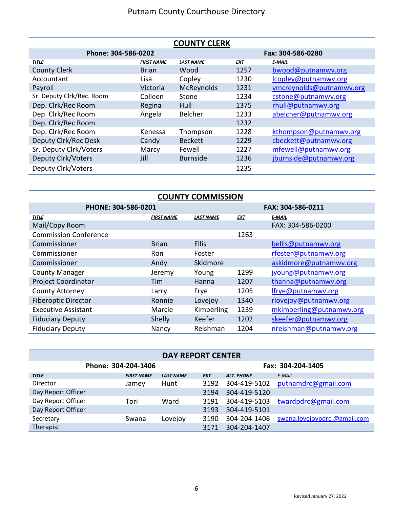| <b>COUNTY CLERK</b>       |                   |                   |            |                          |  |  |
|---------------------------|-------------------|-------------------|------------|--------------------------|--|--|
| Phone: 304-586-0202       |                   | Fax: 304-586-0280 |            |                          |  |  |
| <b>TITLE</b>              | <b>FIRST NAME</b> | <b>LAST NAME</b>  | <b>EXT</b> | <b>E-MAIL</b>            |  |  |
| <b>County Clerk</b>       | <b>Brian</b>      | Wood              | 1257       | bwood@putnamwv.org       |  |  |
| Accountant                | Lisa              | Copley            | 1230       | lcopley@putnamwv.org     |  |  |
| Payroll                   | Victoria          | McReynolds        | 1231       | vmcreynolds@putnamwv.org |  |  |
| Sr. Deputy Clrk/Rec. Room | Colleen           | Stone             | 1234       | cstone@putnamwv.org      |  |  |
| Dep. Clrk/Rec Room        | Regina            | Hull              | 1375       | rhull@putnamwv.org       |  |  |
| Dep. Clrk/Rec Room        | Angela            | Belcher           | 1233       | abelcher@putnamwv.org    |  |  |
| Dep. Clrk/Rec Room        |                   |                   | 1232       |                          |  |  |
| Dep. Clrk/Rec Room        | Kenessa           | Thompson          | 1228       | kthompson@putnamwv.org   |  |  |
| Deputy Clrk/Rec Desk      | Candy             | <b>Beckett</b>    | 1229       | cbeckett@putnamwv.org    |  |  |
| Sr. Deputy Clrk/Voters    | Marcy             | Fewell            | 1227       | mfewell@putnamwv.org     |  |  |
| Deputy Clrk/Voters        | Jill              | <b>Burnside</b>   | 1236       | jburnside@putnamwv.org   |  |  |
| Deputy Clrk/Voters        |                   |                   | 1235       |                          |  |  |

| <b>COUNTY COMMISSION</b>     |                   |                   |            |                          |  |  |  |
|------------------------------|-------------------|-------------------|------------|--------------------------|--|--|--|
| PHONE: 304-586-0201          |                   | FAX: 304-586-0211 |            |                          |  |  |  |
| <b>TITLE</b>                 | <b>FIRST NAME</b> | <b>LAST NAME</b>  | <b>EXT</b> | <b>E-MAIL</b>            |  |  |  |
| Mail/Copy Room               |                   |                   |            | FAX: 304-586-0200        |  |  |  |
| <b>Commission Conference</b> |                   |                   | 1263       |                          |  |  |  |
| Commissioner                 | <b>Brian</b>      | <b>Ellis</b>      |            | bellis@putnamwv.org      |  |  |  |
| Commissioner                 | <b>Ron</b>        | Foster            |            | rfoster@putnamwv.org     |  |  |  |
| Commissioner                 | Andy              | Skidmore          |            | askidmore@putnamwv.org   |  |  |  |
| <b>County Manager</b>        | Jeremy            | Young             | 1299       | jyoung@putnamwv.org      |  |  |  |
| <b>Project Coordinator</b>   | Tim               | Hanna             | 1207       | thanna@putnamwv.org      |  |  |  |
| <b>County Attorney</b>       | Larry             | Frye              | 1205       | lfrye@putnamwv.org       |  |  |  |
| <b>Fiberoptic Director</b>   | Ronnie            | Lovejoy           | 1340       | rlovejoy@putnamwv.org    |  |  |  |
| <b>Executive Assistant</b>   | Marcie            | Kimberling        | 1239       | mkimberling@putnamwv.org |  |  |  |
| <b>Fiduciary Deputy</b>      | Shelly            | Keefer            | 1202       | skeefer@putnamwv.org     |  |  |  |
| <b>Fiduciary Deputy</b>      | Nancy             | Reishman          | 1204       | nreishman@putnamwv.org   |  |  |  |

#### **DAY REPORT CENTER**

| Phone: 304-204-1406 |                   |                  | Fax: 304-204-1405 |                   |                              |
|---------------------|-------------------|------------------|-------------------|-------------------|------------------------------|
| <b>TITLE</b>        | <b>FIRST NAME</b> | <b>LAST NAME</b> | <u>EXT</u>        | <b>ALT. PHONE</b> | E-MAIL                       |
| Director            | Jamey             | Hunt             | 3192              | 304-419-5102      | putnamdrc@gmail.com          |
| Day Report Officer  |                   |                  | 3194              | 304-419-5120      |                              |
| Day Report Officer  | Tori              | Ward             | 3191              | 304-419-5103      | twardpdrc@gmail.com          |
| Day Report Officer  |                   |                  | 3193              | 304-419-5101      |                              |
| Secretary           | Swana             | Lovejoy          | 3190              | 304-204-1406      | swana.lovejoypdrc.@gmail.com |
| Therapist           |                   |                  | 3171              | 304-204-1407      |                              |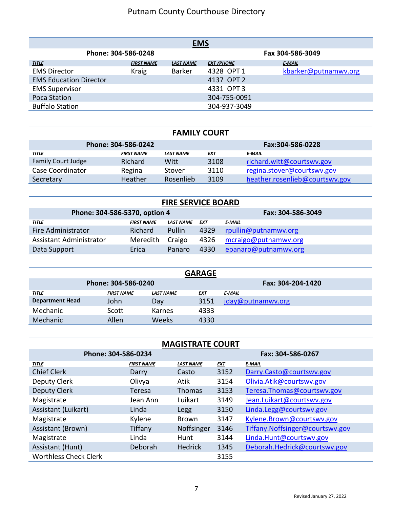| <b>EMS</b>                    |                     |                  |                   |                      |  |  |  |  |
|-------------------------------|---------------------|------------------|-------------------|----------------------|--|--|--|--|
|                               | Phone: 304-586-0248 | Fax 304-586-3049 |                   |                      |  |  |  |  |
| <b>TITLE</b>                  | <b>FIRST NAME</b>   | <b>LAST NAME</b> | <b>EXT /PHONE</b> | E-MAIL               |  |  |  |  |
| <b>EMS Director</b>           | <b>Kraig</b>        | <b>Barker</b>    | 4328 OPT 1        | kbarker@putnamwv.org |  |  |  |  |
| <b>EMS Education Director</b> |                     |                  | 4137 OPT 2        |                      |  |  |  |  |
| <b>EMS Supervisor</b>         |                     |                  | 4331 OPT 3        |                      |  |  |  |  |
| Poca Station                  |                     |                  | 304-755-0091      |                      |  |  |  |  |
| <b>Buffalo Station</b>        |                     |                  | 304-937-3049      |                      |  |  |  |  |

#### **FAMILY COURT**

| Phone: 304-586-0242       |                   |           |            | Fax:304-586-0228               |
|---------------------------|-------------------|-----------|------------|--------------------------------|
| <u>TITLE</u>              | <b>FIRST NAME</b> | LAST NAME | <u>EXT</u> | <u>E-MAIL</u>                  |
| <b>Family Court Judge</b> | <b>Richard</b>    | Witt      | 3108       | richard.witt@courtswy.gov      |
| Case Coordinator          | Regina            | Stover    | 3110       | regina.stover@courtswy.gov     |
| Secretary                 | Heather           | Rosenlieb | 3109       | heather.rosenlieb@courtswy.gov |

| <b>FIRE SERVICE BOARD</b>     |                   |                   |            |                      |  |  |  |
|-------------------------------|-------------------|-------------------|------------|----------------------|--|--|--|
| Phone: 304-586-5370, option 4 |                   | Fax: 304-586-3049 |            |                      |  |  |  |
| <u>TITLE</u>                  | <b>FIRST NAME</b> | <b>LAST NAME</b>  | <u>EXT</u> | E-MAIL               |  |  |  |
| Fire Administrator            | <b>Richard</b>    | Pullin            | 4329       | rpullin@putnamwv.org |  |  |  |
| Assistant Administrator       | Meredith          | Craigo            | 4326       | mcraigo@putnamwv.org |  |  |  |
| Data Support                  | Erica             | Panaro            | 4330       | epanaro@putnamwv.org |  |  |  |

| <b>GARAGE</b>          |                     |                   |      |                   |  |  |  |
|------------------------|---------------------|-------------------|------|-------------------|--|--|--|
|                        | Phone: 304-586-0240 | Fax: 304-204-1420 |      |                   |  |  |  |
| <u>TITLE</u>           | <b>FIRST NAME</b>   | <b>LAST NAME</b>  | EXT  | E MAIL            |  |  |  |
| <b>Department Head</b> | John                | Day               | 3151 | jday@putnamwy.org |  |  |  |
| Mechanic               | Scott               | Karnes            | 4333 |                   |  |  |  |
| Mechanic               | Allen               | <b>Weeks</b>      | 4330 |                   |  |  |  |

#### **MAGISTRATE COURT**

| Phone: 304-586-0234          |                   |                  | Fax: 304-586-0267 |                                 |
|------------------------------|-------------------|------------------|-------------------|---------------------------------|
| <b>TITLE</b>                 | <b>FIRST NAME</b> | <b>LAST NAME</b> | <b>EXT</b>        | <b>E-MAIL</b>                   |
| <b>Chief Clerk</b>           | Darry             | Casto            | 3152              | Darry.Casto@courtswv.gov        |
| Deputy Clerk                 | Olivya            | Atik             | 3154              | Olivia.Atik@courtswv.gov        |
| Deputy Clerk                 | <b>Teresa</b>     | <b>Thomas</b>    | 3153              | Teresa.Thomas@courtswv.gov      |
| Magistrate                   | Jean Ann          | Luikart          | 3149              | Jean.Luikart@courtswv.gov       |
| Assistant (Luikart)          | Linda             | Legg             | 3150              | Linda.Legg@courtswv.gov         |
| Magistrate                   | Kylene            | <b>Brown</b>     | 3147              | Kylene.Brown@courtswv.gov       |
| Assistant (Brown)            | Tiffany           | Noffsinger       | 3146              | Tiffany.Noffsinger@courtswv.gov |
| Magistrate                   | Linda             | Hunt             | 3144              | Linda.Hunt@courtswv.gov         |
| Assistant (Hunt)             | Deborah           | <b>Hedrick</b>   | 1345              | Deborah.Hedrick@courtswv.gov    |
| <b>Worthless Check Clerk</b> |                   |                  | 3155              |                                 |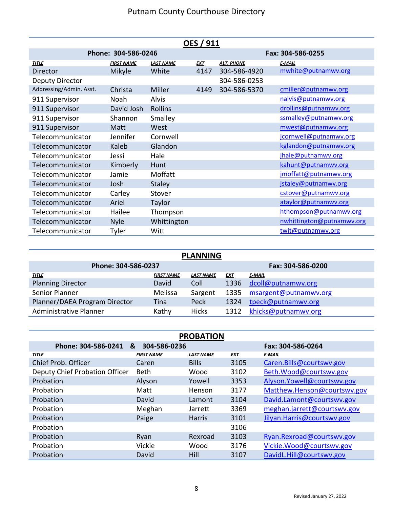| <b>OES / 911</b>        |                     |                  |            |                   |                           |  |
|-------------------------|---------------------|------------------|------------|-------------------|---------------------------|--|
|                         | Phone: 304-586-0246 |                  |            | Fax: 304-586-0255 |                           |  |
| <b>TITLE</b>            | <b>FIRST NAME</b>   | <b>LAST NAME</b> | <b>EXT</b> | <b>ALT. PHONE</b> | <b>E-MAIL</b>             |  |
| Director                | Mikyle              | White            | 4147       | 304-586-4920      | mwhite@putnamwv.org       |  |
| Deputy Director         |                     |                  |            | 304-586-0253      |                           |  |
| Addressing/Admin. Asst. | Christa             | Miller           | 4149       | 304-586-5370      | cmiller@putnamwv.org      |  |
| 911 Supervisor          | Noah                | Alvis            |            |                   | nalvis@putnamwv.org       |  |
| 911 Supervisor          | David Josh          | <b>Rollins</b>   |            |                   | drollins@putnamwv.org     |  |
| 911 Supervisor          | Shannon             | Smalley          |            |                   | ssmalley@putnamwv.org     |  |
| 911 Supervisor          | Matt                | West             |            |                   | mwest@putnamwv.org        |  |
| Telecommunicator        | Jennifer            | Cornwell         |            |                   | jcornwell@putnamwv.org    |  |
| Telecommunicator        | Kaleb               | Glandon          |            |                   | kglandon@putnamwv.org     |  |
| Telecommunicator        | Jessi               | Hale             |            |                   | jhale@putnamwv.org        |  |
| Telecommunicator        | Kimberly            | Hunt             |            |                   | kahunt@putnamwv.org       |  |
| Telecommunicator        | Jamie               | Moffatt          |            |                   | jmoffatt@putnamwv.org     |  |
| Telecommunicator        | Josh                | <b>Staley</b>    |            |                   | jstaley@putnamwv.org      |  |
| Telecommunicator        | Carley              | Stover           |            |                   | cstover@putnamwv.org      |  |
| Telecommunicator        | Ariel               | Taylor           |            |                   | ataylor@putnamwv.org      |  |
| Telecommunicator        | Hailee              | Thompson         |            |                   | hthompson@putnamwv.org    |  |
| Telecommunicator        | <b>Nyle</b>         | Whittington      |            |                   | nwhittington@putnamwv.org |  |
| Telecommunicator        | Tyler               | Witt             |            |                   | twit@putnamwv.org         |  |

| <b>PLANNING</b>               |                   |                   |      |                       |  |  |  |
|-------------------------------|-------------------|-------------------|------|-----------------------|--|--|--|
| Phone: 304-586-0237           |                   | Fax: 304-586-0200 |      |                       |  |  |  |
| <b>TITLE</b>                  | <b>FIRST NAME</b> | <b>LAST NAME</b>  | EXT  | <b>E-MAIL</b>         |  |  |  |
| <b>Planning Director</b>      | David             | Coll              | 1336 | dcoll@putnamwv.org    |  |  |  |
| Senior Planner                | Melissa           | Sargent           | 1335 | msargent@putnamwv.org |  |  |  |
| Planner/DAEA Program Director | Tina              | Peck              | 1324 | tpeck@putnamwv.org    |  |  |  |
| <b>Administrative Planner</b> | Kathy             | <b>Hicks</b>      | 1312 | khicks@putnamwv.org   |  |  |  |

| <b>PROBATION</b>               |                   |                  |            |                             |  |  |  |
|--------------------------------|-------------------|------------------|------------|-----------------------------|--|--|--|
| Phone: 304-586-0241            | 304-586-0236<br>& |                  |            | Fax: 304-586-0264           |  |  |  |
| <b>TITLE</b>                   | <b>FIRST NAME</b> | <b>LAST NAME</b> | <b>EXT</b> | <b>E-MAIL</b>               |  |  |  |
| Chief Prob. Officer            | Caren             | <b>Bills</b>     | 3105       | Caren.Bills@courtswv.gov    |  |  |  |
| Deputy Chief Probation Officer | <b>Beth</b>       | Wood             | 3102       | Beth.Wood@courtswv.gov      |  |  |  |
| Probation                      | Alyson            | Yowell           | 3353       | Alyson.Yowell@courtswv.gov  |  |  |  |
| Probation                      | Matt              | Henson           | 3177       | Matthew.Henson@courtswv.gov |  |  |  |
| Probation                      | David             | Lamont           | 3104       | David.Lamont@courtswv.gov   |  |  |  |
| Probation                      | Meghan            | Jarrett          | 3369       | meghan.jarrett@courtswv.gov |  |  |  |
| Probation                      | Paige             | <b>Harris</b>    | 3101       | Jilyan.Harris@courtswv.gov  |  |  |  |
| Probation                      |                   |                  | 3106       |                             |  |  |  |
| Probation                      | Ryan              | Rexroad          | 3103       | Ryan.Rexroad@courtswv.gov   |  |  |  |
| Probation                      | Vickie            | Wood             | 3176       | Vickie. Wood@courtswy.gov   |  |  |  |
| Probation                      | David             | Hill             | 3107       | DavidL.Hill@courtswv.gov    |  |  |  |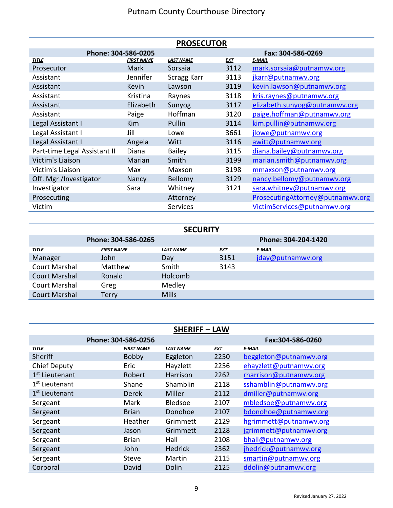| <b>PROSECUTOR</b>            |                   |                  |            |                                  |  |  |
|------------------------------|-------------------|------------------|------------|----------------------------------|--|--|
| Phone: 304-586-0205          |                   |                  |            | Fax: 304-586-0269                |  |  |
| <b>TITLE</b>                 | <b>FIRST NAME</b> | <b>LAST NAME</b> | <b>EXT</b> | <b>E-MAIL</b>                    |  |  |
| Prosecutor                   | Mark              | Sorsaia          | 3112       | mark.sorsaia@putnamwv.org        |  |  |
| Assistant                    | Jennifer          | Scragg Karr      | 3113       | jkarr@putnamwv.org               |  |  |
| Assistant                    | <b>Kevin</b>      | Lawson           | 3119       | kevin.lawson@putnamwv.org        |  |  |
| Assistant                    | Kristina          | Raynes           | 3118       | kris.raynes@putnamwv.org         |  |  |
| Assistant                    | Elizabeth         | Sunyog           | 3117       | elizabeth.sunyog@putnamwv.org    |  |  |
| Assistant                    | Paige             | Hoffman          | 3120       | paige.hoffman@putnamwv.org       |  |  |
| Legal Assistant I            | <b>Kim</b>        | Pullin           | 3114       | kim.pullin@putnamwv.org          |  |  |
| Legal Assistant I            | Jill              | Lowe             | 3661       | jlowe@putnamwv.org               |  |  |
| Legal Assistant I            | Angela            | Witt             | 3116       | awitt@putnamwv.org               |  |  |
| Part-time Legal Assistant II | Diana             | <b>Bailey</b>    | 3115       | diana.bailey@putnamwv.org        |  |  |
| Victim's Liaison             | Marian            | Smith            | 3199       | marian.smith@putnamwv.org        |  |  |
| Victim's Liaison             | Max               | Maxson           | 3198       | mmaxson@putnamwv.org             |  |  |
| Off. Mgr /Investigator       | Nancy             | Bellomy          | 3129       | nancy.bellomy@putnamwv.org       |  |  |
| Investigator                 | Sara              | Whitney          | 3121       | sara.whitney@putnamwv.org        |  |  |
| Prosecuting                  |                   | Attorney         |            | ProsecutingAttorney@putnamwv.org |  |  |
| Victim                       |                   | <b>Services</b>  |            | VictimServices@putnamwv.org      |  |  |

| <b>SECURITY</b>      |                     |                  |            |                     |  |  |  |
|----------------------|---------------------|------------------|------------|---------------------|--|--|--|
|                      | Phone: 304-586-0265 |                  |            | Phone: 304-204-1420 |  |  |  |
| <u>TITLE</u>         | <b>FIRST NAME</b>   | <b>LAST NAME</b> | <u>EXT</u> | <b>F-MAIL</b>       |  |  |  |
| Manager              | John                | Day              | 3151       | jday@putnamwv.org   |  |  |  |
| <b>Court Marshal</b> | Matthew             | Smith            | 3143       |                     |  |  |  |
| <b>Court Marshal</b> | Ronald              | Holcomb          |            |                     |  |  |  |
| <b>Court Marshal</b> | Greg                | Medley           |            |                     |  |  |  |
| <b>Court Marshal</b> | Terry               | <b>Mills</b>     |            |                     |  |  |  |

| <b>SHERIFF - LAW</b>       |                     |                  |            |                        |  |  |
|----------------------------|---------------------|------------------|------------|------------------------|--|--|
|                            | Phone: 304-586-0256 |                  |            | Fax:304-586-0260       |  |  |
| <b>TITLE</b>               | <b>FIRST NAME</b>   | <b>LAST NAME</b> | <b>EXT</b> | <b>F-MAIL</b>          |  |  |
| Sheriff                    | Bobby               | Eggleton         | 2250       | beggleton@putnamwv.org |  |  |
| <b>Chief Deputy</b>        | Eric                | Hayzlett         | 2256       | ehayzlett@putnamwv.org |  |  |
| 1 <sup>st</sup> Lieutenant | Robert              | Harrison         | 2262       | rharrison@putnamwv.org |  |  |
| 1 <sup>st</sup> Lieutenant | Shane               | Shamblin         | 2118       | sshamblin@putnamwv.org |  |  |
| 1 <sup>st</sup> Lieutenant | <b>Derek</b>        | Miller           | 2112       | dmiller@putnamwv.org   |  |  |
| Sergeant                   | Mark                | Bledsoe          | 2107       | mbledsoe@putnamwv.org  |  |  |
| Sergeant                   | <b>Brian</b>        | Donohoe          | 2107       | bdonohoe@putnamwv.org  |  |  |
| Sergeant                   | Heather             | Grimmett         | 2129       | hgrimmett@putnamwv.org |  |  |
| Sergeant                   | Jason               | Grimmett         | 2128       | jgrimmett@putnamwv.org |  |  |
| Sergeant                   | <b>Brian</b>        | Hall             | 2108       | bhall@putnamwv.org     |  |  |
| Sergeant                   | John                | <b>Hedrick</b>   | 2362       | jhedrick@putnamwv.org  |  |  |
| Sergeant                   | <b>Steve</b>        | Martin           | 2115       | smartin@putnamwv.org   |  |  |
| Corporal                   | David               | <b>Dolin</b>     | 2125       | ddolin@putnamwv.org    |  |  |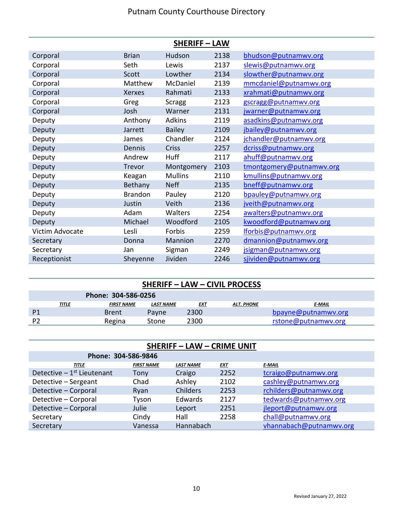| <b>SHERIFF - LAW</b> |                |                |      |                          |  |  |
|----------------------|----------------|----------------|------|--------------------------|--|--|
| Corporal             | <b>Brian</b>   | Hudson         | 2138 | bhudson@putnamwv.org     |  |  |
| Corporal             | Seth           | Lewis          | 2137 | slewis@putnamwv.org      |  |  |
| Corporal             | Scott          | Lowther        | 2134 | slowther@putnamwv.org    |  |  |
| Corporal             | Matthew        | McDaniel       | 2139 | mmcdaniel@putnamwv.org   |  |  |
| Corporal             | Xerxes         | Rahmati        | 2133 | xrahmati@putnamwv.org    |  |  |
| Corporal             | Greg           | <b>Scragg</b>  | 2123 | gscragg@putnamwv.org     |  |  |
| Corporal             | Josh           | Warner         | 2131 | jwarner@putnamwv.org     |  |  |
| Deputy               | Anthony        | <b>Adkins</b>  | 2119 | asadkins@putnamwv.org    |  |  |
| Deputy               | Jarrett        | <b>Bailey</b>  | 2109 | jbailey@putnamwy.org     |  |  |
| Deputy               | James          | Chandler       | 2124 | jchandler@putnamwv.org   |  |  |
| Deputy               | Dennis         | Criss          | 2257 | dcriss@putnamwv.org      |  |  |
| Deputy               | Andrew         | Huff           | 2117 | ahuff@putnamwv.org       |  |  |
| Deputy               | Trevor         | Montgomery     | 2103 | tmontgomery@putnamwv.org |  |  |
| Deputy               | Keagan         | <b>Mullins</b> | 2110 | kmullins@putnamwv.org    |  |  |
| Deputy               | Bethany        | <b>Neff</b>    | 2135 | bneff@putnamwv.org       |  |  |
| Deputy               | <b>Brandon</b> | Pauley         | 2120 | bpauley@putnamwy.org     |  |  |
| Deputy               | Justin         | Veith          | 2136 | jveith@putnamwv.org      |  |  |
| Deputy               | Adam           | Walters        | 2254 | awalters@putnamwv.org    |  |  |
| Deputy               | Michael        | Woodford       | 2105 | kwoodford@putnamwv.org   |  |  |
| Victim Advocate      | Lesli          | Forbis         | 2259 | lforbis@putnamwv.org     |  |  |
| Secretary            | Donna          | Mannion        | 2270 | dmannion@putnamwv.org    |  |  |
| Secretary            | Jan            | Sigman         | 2249 | jsigman@putnamwv.org     |  |  |
| Receptionist         | Sheyenne       | Jividen        | 2246 | sjividen@putnamwv.org    |  |  |

| <b>SHERIFF - LAW - CIVIL PROCESS</b> |              |                   |           |      |                   |                     |  |  |
|--------------------------------------|--------------|-------------------|-----------|------|-------------------|---------------------|--|--|
| Phone: 304-586-0256                  |              |                   |           |      |                   |                     |  |  |
|                                      | <u>TITLE</u> | <b>FIRST NAME</b> | LAST NAME | EXT  | <b>ALT. PHONE</b> | E-MAIL              |  |  |
| P <sub>1</sub>                       |              | <b>Brent</b>      | Payne     | 2300 |                   | bpayne@putnamwy.org |  |  |
| P2                                   |              | Regina            | Stone     | 2300 |                   | rstone@putnamwv.org |  |  |

| <b>SHERIFF - LAW - CRIME UNIT</b> |                   |                  |            |                         |  |  |  |  |
|-----------------------------------|-------------------|------------------|------------|-------------------------|--|--|--|--|
| Phone: 304-586-9846               |                   |                  |            |                         |  |  |  |  |
| <b>TITLE</b>                      | <b>FIRST NAME</b> | <b>LAST NAME</b> | <u>EXT</u> | <b>E-MAIL</b>           |  |  |  |  |
| Detective $-1st$ Lieutenant       | Tony              | Craigo           | 2252       | tcraigo@putnamwv.org    |  |  |  |  |
| Detective - Sergeant              | Chad              | Ashley           | 2102       | cashley@putnamwv.org    |  |  |  |  |
| Detective - Corporal              | Ryan              | Childers         | 2253       | rchilders@putnamwv.org  |  |  |  |  |
| Detective - Corporal              | Tyson             | Edwards          | 2127       | tedwards@putnamwv.org   |  |  |  |  |
| Detective - Corporal              | Julie             | Leport           | 2251       | jleport@putnamwv.org    |  |  |  |  |
| Secretary                         | Cindy             | Hall             | 2258       | chall@putnamwv.org      |  |  |  |  |
| Secretary                         | Vanessa           | Hannabach        |            | vhannabach@putnamwv.org |  |  |  |  |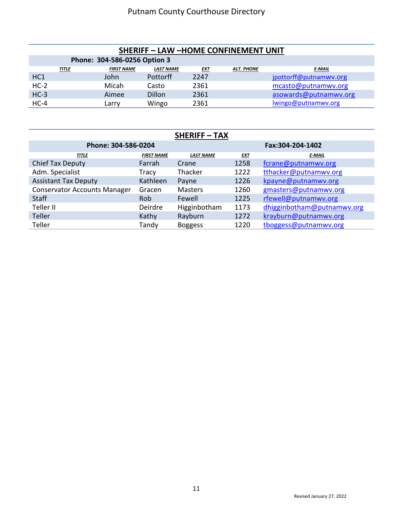| <b>SHERIFF - LAW -HOME CONFINEMENT UNIT</b>                                                        |  |       |                 |      |  |                        |  |  |
|----------------------------------------------------------------------------------------------------|--|-------|-----------------|------|--|------------------------|--|--|
| Phone: 304-586-0256 Option 3                                                                       |  |       |                 |      |  |                        |  |  |
| <b>FIRST NAME</b><br><b>LAST NAME</b><br><b>ALT. PHONE</b><br><u>TITLE</u><br>E-MAIL<br><b>EXT</b> |  |       |                 |      |  |                        |  |  |
| HC1                                                                                                |  | John  | <b>Pottorff</b> | 2247 |  | jpottorff@putnamwv.org |  |  |
| $HC-2$                                                                                             |  | Micah | Casto           | 2361 |  | mcasto@putnamwv.org    |  |  |
| $HC-3$                                                                                             |  | Aimee | Dillon          | 2361 |  | asowards@putnamwv.org  |  |  |
| $HC-4$                                                                                             |  | Larrv | Wingo           | 2361 |  | lwingo@putnamwv.org    |  |  |

| <b>SHERIFF-TAX</b>                  |                   |                  |                  |                            |  |  |  |  |
|-------------------------------------|-------------------|------------------|------------------|----------------------------|--|--|--|--|
| Phone: 304-586-0204                 |                   |                  | Fax:304-204-1402 |                            |  |  |  |  |
| <b>TITLE</b>                        | <b>FIRST NAME</b> | <b>LAST NAME</b> | <b>EXT</b>       | <b>E-MAIL</b>              |  |  |  |  |
| Chief Tax Deputy                    | Farrah            | Crane            | 1258             | fcrane@putnamwv.org        |  |  |  |  |
| Adm. Specialist                     | Tracy             | Thacker          | 1222             | tthacker@putnamwv.org      |  |  |  |  |
| <b>Assistant Tax Deputy</b>         | Kathleen          | Payne            | 1226             | kpayne@putnamwv.org        |  |  |  |  |
| <b>Conservator Accounts Manager</b> | Gracen            | <b>Masters</b>   | 1260             | gmasters@putnamwv.org      |  |  |  |  |
| <b>Staff</b>                        | Rob               | Fewell           | 1225             | rfewell@putnamwv.org       |  |  |  |  |
| Teller II                           | Deirdre           | Higginbotham     | 1173             | dhigginbotham@putnamwv.org |  |  |  |  |
| <b>Teller</b>                       | Kathy             | Rayburn          | 1272             | krayburn@putnamwv.org      |  |  |  |  |
| Teller                              | Tandy             | <b>Boggess</b>   | 1220             | tboggess@putnamwv.org      |  |  |  |  |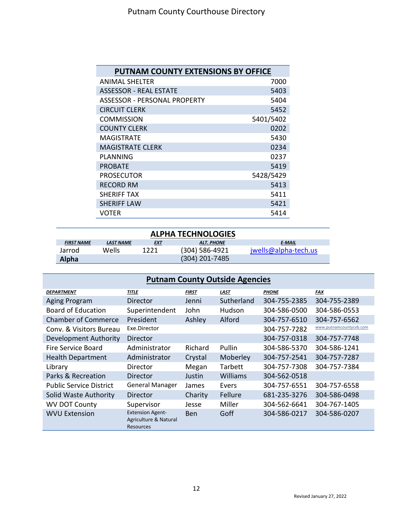| <b>PUTNAM COUNTY EXTENSIONS BY OFFICE</b> |           |  |  |  |  |  |
|-------------------------------------------|-----------|--|--|--|--|--|
| <b>ANIMAL SHELTER</b>                     | 7000      |  |  |  |  |  |
| <b>ASSESSOR - REAL ESTATE</b>             | 5403      |  |  |  |  |  |
| <b>ASSESSOR - PERSONAL PROPERTY</b>       | 5404      |  |  |  |  |  |
| <b>CIRCUIT CLERK</b>                      | 5452      |  |  |  |  |  |
| <b>COMMISSION</b>                         | 5401/5402 |  |  |  |  |  |
| <b>COUNTY CLERK</b>                       | 0202      |  |  |  |  |  |
| <b>MAGISTRATE</b>                         | 5430      |  |  |  |  |  |
| <b>MAGISTRATE CLERK</b>                   | 0234      |  |  |  |  |  |
| PLANNING                                  | 0237      |  |  |  |  |  |
| <b>PROBATE</b>                            | 5419      |  |  |  |  |  |
| <b>PROSECUTOR</b>                         | 5428/5429 |  |  |  |  |  |
| <b>RECORD RM</b>                          | 5413      |  |  |  |  |  |
| SHERIFF TAX                               | 5411      |  |  |  |  |  |
| <b>SHERIFF LAW</b>                        | 5421      |  |  |  |  |  |
| VOTER                                     | 5414      |  |  |  |  |  |

| <b>ALPHA TECHNOLOGIES</b>                                                   |       |      |                |                      |  |  |  |  |
|-----------------------------------------------------------------------------|-------|------|----------------|----------------------|--|--|--|--|
| <b>FIRST NAME</b><br>LAST NAME<br>E MAIL<br><u>EXT</u><br><b>ALT. PHONE</b> |       |      |                |                      |  |  |  |  |
| Jarrod                                                                      | Wells | 1221 | (304) 586-4921 | jwells@alpha-tech.us |  |  |  |  |
| $(304)$ 201-7485<br><b>Alpha</b>                                            |       |      |                |                      |  |  |  |  |

| <b>Putnam County Outside Agencies</b> |                                                                      |              |             |              |                         |  |  |  |
|---------------------------------------|----------------------------------------------------------------------|--------------|-------------|--------------|-------------------------|--|--|--|
| <b>DEPARTMENT</b>                     | <b>TITLE</b>                                                         | <b>FIRST</b> | <b>LAST</b> | <b>PHONE</b> | <b>FAX</b>              |  |  |  |
| Aging Program                         | Director                                                             | Jenni        | Sutherland  | 304-755-2385 | 304-755-2389            |  |  |  |
| <b>Board of Education</b>             | Superintendent                                                       | John         | Hudson      | 304-586-0500 | 304-586-0553            |  |  |  |
| <b>Chamber of Commerce</b>            | President                                                            | Ashley       | Alford      | 304-757-6510 | 304-757-6562            |  |  |  |
| Conv. & Visitors Bureau               | Exe.Director                                                         |              |             | 304-757-7282 | www.putnamcountycvb.com |  |  |  |
| Development Authority                 | Director                                                             |              |             | 304-757-0318 | 304-757-7748            |  |  |  |
| Fire Service Board                    | Administrator                                                        | Richard      | Pullin      | 304-586-5370 | 304-586-1241            |  |  |  |
| <b>Health Department</b>              | Administrator                                                        | Crystal      | Moberley    | 304-757-2541 | 304-757-7287            |  |  |  |
| Library                               | Director                                                             | Megan        | Tarbett     | 304-757-7308 | 304-757-7384            |  |  |  |
| Parks & Recreation                    | Director                                                             | Justin       | Williams    | 304-562-0518 |                         |  |  |  |
| <b>Public Service District</b>        | <b>General Manager</b>                                               | James        | Evers       | 304-757-6551 | 304-757-6558            |  |  |  |
| Solid Waste Authority                 | Director                                                             | Charity      | Fellure     | 681-235-3276 | 304-586-0498            |  |  |  |
| <b>WV DOT County</b>                  | Supervisor                                                           | Jesse        | Miller      | 304-562-6641 | 304-767-1405            |  |  |  |
| <b>WVU Extension</b>                  | <b>Extension Agent-</b><br>Agriculture & Natural<br><b>Resources</b> | <b>Ben</b>   | Goff        | 304-586-0217 | 304-586-0207            |  |  |  |